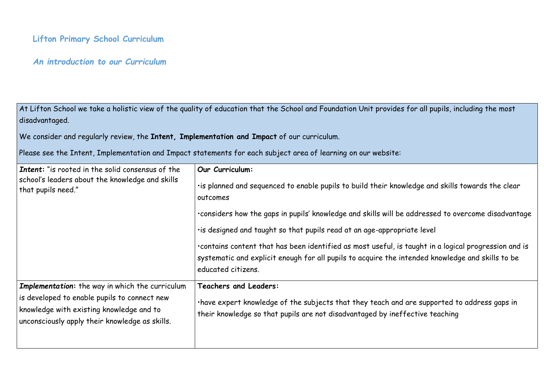# **Lifton Primary School Curriculum**

## *An introduction to our Curriculum*

At Lifton School we take a holistic view of the quality of education that the School and Foundation Unit provides for all pupils, including the most disadvantaged.

We consider and regularly review, the **Intent, Implementation and Impact** of our curriculum.

Please see the Intent, Implementation and Impact statements for each subject area of learning on our website:

| <b>Intent:</b> "is rooted in the solid consensus of the<br>school's leaders about the knowledge and skills<br>that pupils need."                                                              | Our Curriculum:<br>· is planned and sequenced to enable pupils to build their knowledge and<br>outcomes<br>. considers how the gaps in pupils' knowledge and skills will be addresse<br>· is designed and taught so that pupils read at an age-appropriate level<br>. contains content that has been identified as most useful, is taught in<br>systematic and explicit enough for all pupils to acquire the intended k<br>educated citizens. |
|-----------------------------------------------------------------------------------------------------------------------------------------------------------------------------------------------|-----------------------------------------------------------------------------------------------------------------------------------------------------------------------------------------------------------------------------------------------------------------------------------------------------------------------------------------------------------------------------------------------------------------------------------------------|
| Implementation: the way in which the curriculum<br>is developed to enable pupils to connect new<br>knowledge with existing knowledge and to<br>unconsciously apply their knowledge as skills. | <b>Teachers and Leaders:</b><br>·have expert knowledge of the subjects that they teach and are suppo<br>their knowledge so that pupils are not disadvantaged by ineffective to                                                                                                                                                                                                                                                                |

edge and skills towards the clear

ddressed to overcome disadvantage

 $u$ ught in a logical progression and is ended knowledge and skills to be

re supported to address gaps in ctive teaching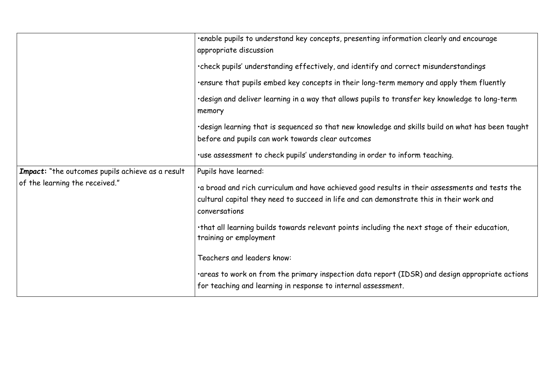|                                                                                    | ·enable pupils to understand key concepts, presenting informat<br>appropriate discussion                                                           |
|------------------------------------------------------------------------------------|----------------------------------------------------------------------------------------------------------------------------------------------------|
|                                                                                    | .check pupils' understanding effectively, and identify and corre                                                                                   |
|                                                                                    | .ensure that pupils embed key concepts in their long-term mem                                                                                      |
|                                                                                    | ·design and deliver learning in a way that allows pupils to transt<br>memory                                                                       |
|                                                                                    | ·design learning that is sequenced so that new knowledge and s                                                                                     |
|                                                                                    | before and pupils can work towards clear outcomes                                                                                                  |
|                                                                                    | .use assessment to check pupils' understanding in order to info                                                                                    |
| Impact: "the outcomes pupils achieve as a result<br>of the learning the received." | Pupils have learned:                                                                                                                               |
|                                                                                    | a broad and rich curriculum and have achieved good results in<br>cultural capital they need to succeed in life and can demonstrat<br>conversations |
|                                                                                    | . that all learning builds towards relevant points including the no<br>training or employment                                                      |
|                                                                                    | Teachers and leaders know:                                                                                                                         |
|                                                                                    | . areas to work on from the primary inspection data report (ID)<br>for teaching and learning in response to internal assessment.                   |
|                                                                                    |                                                                                                                                                    |

tion clearly and encourage

ect misunderstandings

nory and apply them fluently

fer key knowledge to long-term

skills build on what has been taught

orm teaching.

their assessments and tests the ate this in their work and

ext stage of their education,

SR) and design appropriate actions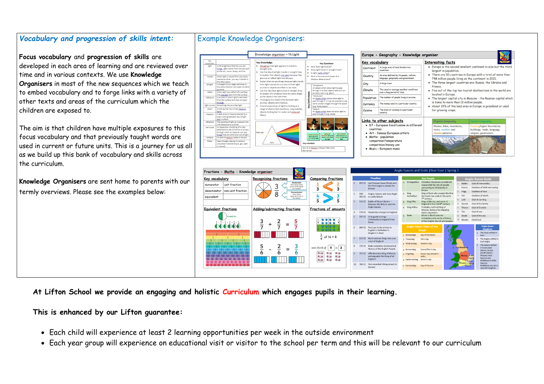## *Vocabulary and progression of skills intent:*

**Focus vocabulary** and **progression of skills** are developed in each area of learning and are reviewed over time and in various contexts. We use **Knowledge Organisers** in most of the new sequences which we teach to embed vocabulary and to forge links with a variety of other texts and areas of the curriculum which the children are exposed to.

The aim is that children have multiple exposures to this focus vocabulary and that previously taught words are used in current or future units. This is a journey for us all as we build up this bank of vocabulary and skills across the curriculum.

**Knowledge Organisers** are sent home to parents with our termly overviews. Please see the examples below:

### Knowledge organiser - Y6 Light Europe - Geography - Know Key vocabulary Key Knowledg Vocabulary **Key Questions** Is the brightness that lets you see<br>things, Light comes from sources su<br>as the sun, moon, lamps, and fire. Recognise that light Continent straight lines.<br>straight lines.<br>Use the idea that light travels in straight lines Does light travel in straight lines? Is light really white? to explain that objects are seen because they<br>give out or reflect light into the eye. When light or sound from one place<br>reaches another, you say it travels to<br>the other place.<br>A straight line or edge continues in<br>the same direction and does not bend<br>or curve How is the size and shape of a Country shadow determi Explain that we see things because light trave City Explain that we see things secures light that<br>from light sources to our eyes or from light straigh sources to objects and then to our eyes. ansparent<br>1 object which allows light to pass Climate gr curve.<br>When light rays reflect off a surface<br>they <u>are sent</u> back from the surface Use the idea that light travels in straight lines<br>to explain why shadows have the same shape ough it so that objects behind it ca

as the objects that cast them.

filters).

nvestigate the relationship between light sources, objects and shadows.

Extend experiences of light by looking at a<br>Fxtend experiences of light by looking at a<br>range of phenomena (rainbows, soap bubble

objects looking bent in water and coloured

easily seen (e.g. glass). anslucent<br>In <u>object which</u> allows some light to<br>Iss through it. It may be possible to

Opaque<br>An <u>object which</u> does not allow light to

pass through it (e.g. wood).

(e.g. tissue paper).

bu Ali al-Hansan (Alhazen) 965-

Ben Jens

έ

rough the obie

| Fractions - Maths - Knowledge organiser                                                                        |                                                                              |                                                                          |                          |        |                                                                                  |                |                               | Anglo-Saxons and Scots   Year Four   Spring 1                                                                 |     |                                  |                                                                           |
|----------------------------------------------------------------------------------------------------------------|------------------------------------------------------------------------------|--------------------------------------------------------------------------|--------------------------|--------|----------------------------------------------------------------------------------|----------------|-------------------------------|---------------------------------------------------------------------------------------------------------------|-----|----------------------------------|---------------------------------------------------------------------------|
| Key vocabulary                                                                                                 | <b>Recognising fractions</b>                                                 | <b>Comparing fractions</b>                                               |                          |        | <b>Timeline</b>                                                                  |                |                               | <b>Key People</b>                                                                                             |     |                                  | <b>Anglo-Saxon Gods</b>                                                   |
| unit fraction<br>numerator<br>non-unit fraction<br>denominator                                                 | <b>Numerator</b><br>How many equal<br>3<br>parts of the whole<br>are needed? | $\overline{\phantom{0}}$<br>$\qquad \qquad$<br>3<br>3                    | $\overline{1}$           | 410 CE | Last Romans leave Britain and<br>the Picts begin to attack the<br><b>Britons</b> |                | 1 St Augustine                | Christian missionary considered<br>responsible for lots of people<br>converting to Christianity in<br>Britain |     | Balder<br>Eostre<br>2<br>Frigg   | God of immortality<br>Goddess of birth and spring<br>Goddess of love      |
| equivalent                                                                                                     | Denominator<br>8<br>How manu<br>equal parts are in<br>the whole?             | 3<br>4<br>$\overline{5}$<br>-<br>5                                       | $\overline{\phantom{a}}$ | 449 -  | Angles, Saxons and Jutes begin<br>450 CE to settle Britain                       | 2              | King<br>Aethelbert            | King of Kent who created the first<br>Germanic law code in the early<br>7 <sup>th</sup> century.              |     | Hel<br>5 Lold                    | Goddess of death<br>God of cunning                                        |
|                                                                                                                |                                                                              |                                                                          | $\overline{3}$           | 516 CE | Battle of Mount Badon-<br>Between the Britons and the                            | $\mathbf{R}$   | King Offa                     | King of Mercia, and most of<br>England in the mid 8 <sup>th</sup> century                                     |     | Saxnot                           | God of the family                                                         |
| <b>Equivalent fractions</b>                                                                                    | Adding/subtracting fractions                                                 | Fractions of amounts                                                     |                          | 570 CE | Anglo-Saxons<br>Heptarchy emerges in England                                     |                | King Arthur                   | Probably mythical King of<br>Wessex, famous for stopping<br>Saxon expansion.                                  |     | Thunor<br>Tiw                    | God of thunder<br>God of war                                              |
| is equal to<br>$\frac{1}{2}$ = $\frac{2}{4}$ = $\frac{3}{6}$ = $\frac{4}{8}$ = $\frac{5}{10}$ = $\frac{6}{12}$ | 3<br>5                                                                       | $\circ$ $\circ$<br>000                                                   | -5                       | 597 CE | St Augustine brings<br>Christianity to England from<br>Rome                      | 5 <sup>1</sup> | Bede                          | Monk in Northumbrian<br>monastery who wrote a history<br>of the English church and people.                    |     | Wade<br><sup>10</sup> Woden      | God of the sea<br>Chief God                                               |
| $\bigcirc$ $\bigcirc$ $\bigcirc$ $\bigcirc$ $\bigcirc$                                                         | +<br>$\overline{\mathbf{z}}$                                                 | $\Omega$ $\Omega$                                                        | 6                        | 600 CE | First Law Code written in<br>English in Aethelbert's<br>kingdom in Kent          |                | 1 Monandæg                    | <b>Anglo-Saxon Days of the</b><br>Week<br>Day of the Moon                                                     | 下降着 |                                  | Anglo-Saxon<br><b>Kingdoms</b><br>1 The Jutes settled in                  |
|                                                                                                                |                                                                              | of $16 = 8$                                                              |                          | 613 CE | Northumbrian kings rule over<br>most of England                                  |                | 2 Tiwesdaeg<br>a Wodnesdæg    | Tiw's day<br>Woden's day                                                                                      | ₹.  |                                  | Kent<br>2 The Angles settled in<br>East Anglia                            |
|                                                                                                                | 5<br>$=$<br>–                                                                | 9<br>$is$ 3<br>one third of                                              |                          | 731 CE | Bede completes Ecclesiastical<br>History of the English People                   |                | 4 Dunresdaeg                  | Dunor/Thor's day                                                                                              |     | <b>Northumbria</b>               | The Saxons settled<br>in Essex (east<br>Saxons, Sussex                    |
|                                                                                                                | b<br>b<br>n                                                                  | <b>OLDS</b><br>f(x)<br><b>CLIB</b><br><b>SLDB</b><br>f(x)<br><b>CLIB</b> | 9                        | 757 CF | Offa becomes King of Mercia<br>and arguably first king of all<br>England         |                | 5 Frigedæg                    | Freia's day (Woden's<br>Wife)                                                                                 |     | Mercia East<br>Anglis            | (south Saxons,<br>Wessex (west<br>Saxons) and                             |
|                                                                                                                |                                                                              | f(x)<br><b>OLTH</b><br><b>CLIP</b>                                       | 10                       | 789 CE | First recorded Viking attack (in<br>Dorset)                                      |                | 6 Saeternesdæg<br>7 Sunnandæg | Saturn's day<br>Day of the Sun                                                                                |     | Essex<br>Wessex<br><b>Sussex</b> | Middlesex (middle<br>Saxons).<br>Middlesex was not a<br>separate kingdom. |

## Example Knowledge Organisers:

A process in which light is sent back<br>from the surface and does not pass

Anything that has a fixed shape or

form.<br>A dark area or shape produced by a

body coming between rays of light<br>and a surface.

The bending of light as it passes fro

one substance to another.<br>An apparatus consisting of a tube<br>attached to a set of mirrors or prism

Pass through a device to remove nted material (liquid, gas, light

through which an observer can see<br>things that are otherwise out of sight.<br>An arch of <u>colours</u> visible in the sky

through.

or sound)

shadow

refractic

light source Something that provides light

| ey vocabulary                                                                                   |                                                                                                                                                                                                                                                                                                                                                                       | <b>Interesting facts</b>                                                                                                                                                        |                                                                                                                                                                                                                                                                                                                                                                                                   |  |  |  |  |  |  |
|-------------------------------------------------------------------------------------------------|-----------------------------------------------------------------------------------------------------------------------------------------------------------------------------------------------------------------------------------------------------------------------------------------------------------------------------------------------------------------------|---------------------------------------------------------------------------------------------------------------------------------------------------------------------------------|---------------------------------------------------------------------------------------------------------------------------------------------------------------------------------------------------------------------------------------------------------------------------------------------------------------------------------------------------------------------------------------------------|--|--|--|--|--|--|
| Continent<br>Country<br>City<br>Climate<br>opulation<br>Currency<br>Cuisine                     | A Large area of land divided into<br>countries<br>An area defined by its people, culture,<br>language, geography and government.<br>A large town.<br>The usual or average weather conditions<br>over a long period of time.<br>The number of people living in an area.<br>The money used in a particular country.<br>The style of cooking in a particular<br>country. | largest in population.<br>748 million people living on the continent in 2021.<br>France.<br>located in Europe.<br>is home to more than 13 million people.<br>for growing crops. | • Europe is the second smallest continent in size but the third<br>• There are 50 countries in Europe with a total of more than<br>• The three largest countries are: Russia, the Ukraine and<br>• Five out of the top ten tourist destinations in the world are<br>The largest capital city is Moscow - the Russian capital which<br>• About 39% of the land area in Europe is grassland or used |  |  |  |  |  |  |
|                                                                                                 | <u>inks to other subjects</u>                                                                                                                                                                                                                                                                                                                                         | <b>Physical Geography</b>                                                                                                                                                       | <b>Human Geography</b>                                                                                                                                                                                                                                                                                                                                                                            |  |  |  |  |  |  |
| countries                                                                                       | • DT - European food/cuisine in different<br>• Art - famous European artists                                                                                                                                                                                                                                                                                          | Oceans, lakes, mountains,<br>rivers, weather and<br>climate patterns.                                                                                                           | Country/region boundaries,<br>buildings, roads, language,<br>religion, government.                                                                                                                                                                                                                                                                                                                |  |  |  |  |  |  |
| Maths - population<br>comparison/temperature<br>comparision/money use<br>Music - European music |                                                                                                                                                                                                                                                                                                                                                                       |                                                                                                                                                                                 |                                                                                                                                                                                                                                                                                                                                                                                                   |  |  |  |  |  |  |

Links to other subjects

**Population** 

Currency

Cuisine

**At Lifton School we provide an engaging and holistic Curriculum which engages pupils in their learning.**

### **This is enhanced by our Lifton guarantee:**

- Each child will experience at least 2 learning opportunities per week in the outside environment
- Each year group will experience on educational visit or visitor to the school per term and this will be relevant to our curriculum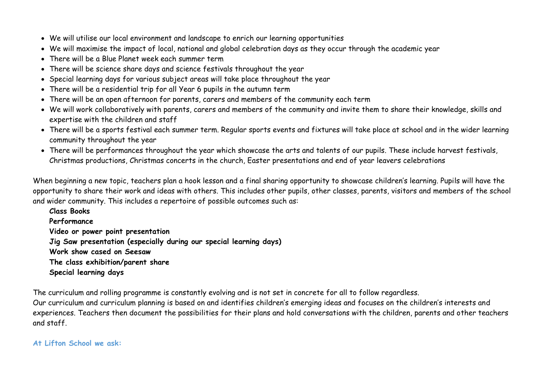- We will utilise our local environment and landscape to enrich our learning opportunities
- We will maximise the impact of local, national and global celebration days as they occur through the academic year
- There will be a Blue Planet week each summer term
- There will be science share days and science festivals throughout the year
- Special learning days for various subject areas will take place throughout the year
- There will be a residential trip for all Year 6 pupils in the autumn term
- There will be an open afternoon for parents, carers and members of the community each term
- We will work collaboratively with parents, carers and members of the community and invite them to share their knowledge, skills and expertise with the children and staff
- There will be a sports festival each summer term. Regular sports events and fixtures will take place at school and in the wider learning community throughout the year
- There will be performances throughout the year which showcase the arts and talents of our pupils. These include harvest festivals, Christmas productions, Christmas concerts in the church, Easter presentations and end of year leavers celebrations

When beginning a new topic, teachers plan a hook lesson and a final sharing opportunity to showcase children's learning. Pupils will have the opportunity to share their work and ideas with others. This includes other pupils, other classes, parents, visitors and members of the school and wider community. This includes a repertoire of possible outcomes such as:

**Class Books Performance Video or power point presentation Jig Saw presentation (especially during our special learning days) Work show cased on Seesaw The class exhibition/parent share Special learning days** 

The curriculum and rolling programme is constantly evolving and is not set in concrete for all to follow regardless. Our curriculum and curriculum planning is based on and identifies children's emerging ideas and focuses on the children's interests and experiences. Teachers then document the possibilities for their plans and hold conversations with the children, parents and other teachers and staff.

## **At Lifton School we ask:**